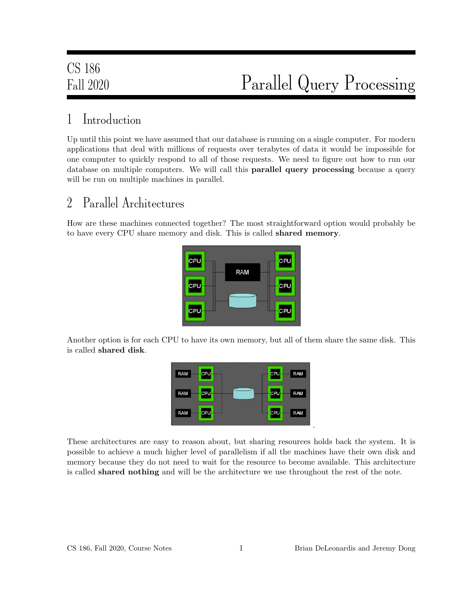## 1 Introduction

Up until this point we have assumed that our database is running on a single computer. For modern applications that deal with millions of requests over terabytes of data it would be impossible for one computer to quickly respond to all of those requests. We need to figure out how to run our database on multiple computers. We will call this parallel query processing because a query will be run on multiple machines in parallel.

#### 2 Parallel Architectures

How are these machines connected together? The most straightforward option would probably be to have every CPU share memory and disk. This is called shared memory.



Another option is for each CPU to have its own memory, but all of them share the same disk. This is called shared disk.



These architectures are easy to reason about, but sharing resources holds back the system. It is possible to achieve a much higher level of parallelism if all the machines have their own disk and memory because they do not need to wait for the resource to become available. This architecture is called shared nothing and will be the architecture we use throughout the rest of the note.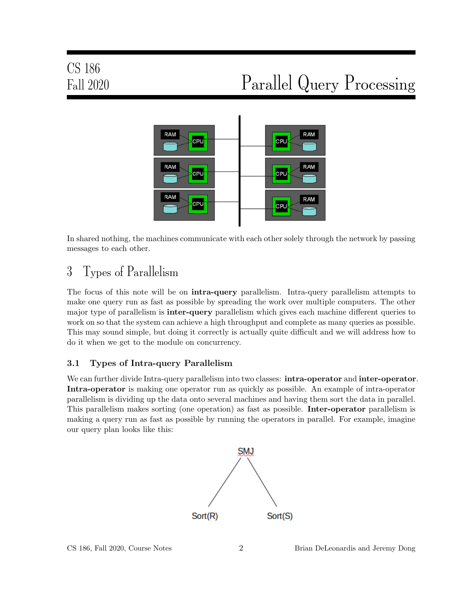

In shared nothing, the machines communicate with each other solely through the network by passing messages to each other.

## 3 Types of Parallelism

The focus of this note will be on **intra-query** parallelism. Intra-query parallelism attempts to make one query run as fast as possible by spreading the work over multiple computers. The other major type of parallelism is **inter-query** parallelism which gives each machine different queries to work on so that the system can achieve a high throughput and complete as many queries as possible. This may sound simple, but doing it correctly is actually quite difficult and we will address how to do it when we get to the module on concurrency.

#### 3.1 Types of Intra-query Parallelism

We can further divide Intra-query parallelism into two classes: **intra-operator** and **inter-operator**. Intra-operator is making one operator run as quickly as possible. An example of intra-operator parallelism is dividing up the data onto several machines and having them sort the data in parallel. This parallelism makes sorting (one operation) as fast as possible. Inter-operator parallelism is making a query run as fast as possible by running the operators in parallel. For example, imagine our query plan looks like this:

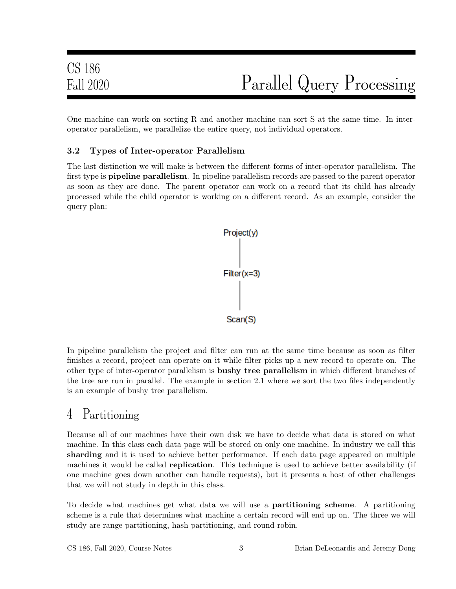One machine can work on sorting R and another machine can sort S at the same time. In interoperator parallelism, we parallelize the entire query, not individual operators.

#### 3.2 Types of Inter-operator Parallelism

The last distinction we will make is between the different forms of inter-operator parallelism. The first type is **pipeline parallelism**. In pipeline parallelism records are passed to the parent operator as soon as they are done. The parent operator can work on a record that its child has already processed while the child operator is working on a different record. As an example, consider the query plan:



In pipeline parallelism the project and filter can run at the same time because as soon as filter finishes a record, project can operate on it while filter picks up a new record to operate on. The other type of inter-operator parallelism is bushy tree parallelism in which different branches of the tree are run in parallel. The example in section 2.1 where we sort the two files independently is an example of bushy tree parallelism.

#### 4 Partitioning

Because all of our machines have their own disk we have to decide what data is stored on what machine. In this class each data page will be stored on only one machine. In industry we call this sharding and it is used to achieve better performance. If each data page appeared on multiple machines it would be called **replication**. This technique is used to achieve better availability (if one machine goes down another can handle requests), but it presents a host of other challenges that we will not study in depth in this class.

To decide what machines get what data we will use a partitioning scheme. A partitioning scheme is a rule that determines what machine a certain record will end up on. The three we will study are range partitioning, hash partitioning, and round-robin.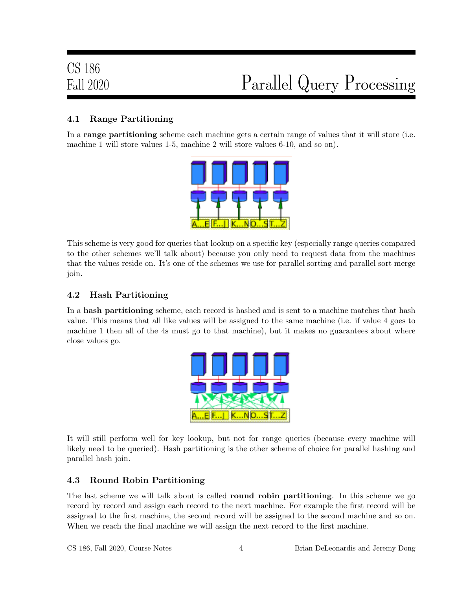#### 4.1 Range Partitioning

In a range partitioning scheme each machine gets a certain range of values that it will store (i.e. machine 1 will store values 1-5, machine 2 will store values 6-10, and so on).



This scheme is very good for queries that lookup on a specific key (especially range queries compared to the other schemes we'll talk about) because you only need to request data from the machines that the values reside on. It's one of the schemes we use for parallel sorting and parallel sort merge join.

#### 4.2 Hash Partitioning

In a hash partitioning scheme, each record is hashed and is sent to a machine matches that hash value. This means that all like values will be assigned to the same machine (i.e. if value 4 goes to machine 1 then all of the 4s must go to that machine), but it makes no guarantees about where close values go.



It will still perform well for key lookup, but not for range queries (because every machine will likely need to be queried). Hash partitioning is the other scheme of choice for parallel hashing and parallel hash join.

#### 4.3 Round Robin Partitioning

The last scheme we will talk about is called **round robin partitioning**. In this scheme we go record by record and assign each record to the next machine. For example the first record will be assigned to the first machine, the second record will be assigned to the second machine and so on. When we reach the final machine we will assign the next record to the first machine.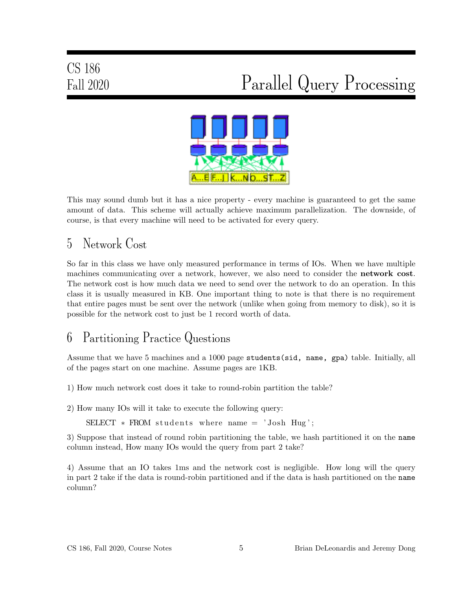

This may sound dumb but it has a nice property - every machine is guaranteed to get the same amount of data. This scheme will actually achieve maximum parallelization. The downside, of course, is that every machine will need to be activated for every query.

## 5 Network Cost

So far in this class we have only measured performance in terms of IOs. When we have multiple machines communicating over a network, however, we also need to consider the network cost. The network cost is how much data we need to send over the network to do an operation. In this class it is usually measured in KB. One important thing to note is that there is no requirement that entire pages must be sent over the network (unlike when going from memory to disk), so it is possible for the network cost to just be 1 record worth of data.

#### 6 Partitioning Practice Questions

Assume that we have 5 machines and a 1000 page students(sid, name, gpa) table. Initially, all of the pages start on one machine. Assume pages are 1KB.

1) How much network cost does it take to round-robin partition the table?

2) How many IOs will it take to execute the following query:

 $SELECT * FROM students where name = 'Josh Hug';$ 

3) Suppose that instead of round robin partitioning the table, we hash partitioned it on the name column instead, How many IOs would the query from part 2 take?

4) Assume that an IO takes 1ms and the network cost is negligible. How long will the query in part 2 take if the data is round-robin partitioned and if the data is hash partitioned on the name column?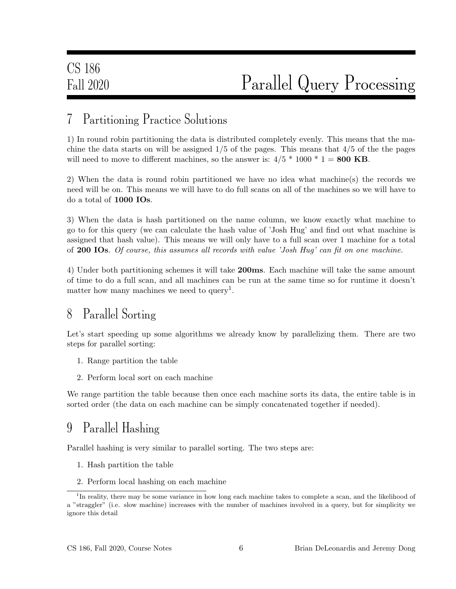#### 7 Partitioning Practice Solutions

1) In round robin partitioning the data is distributed completely evenly. This means that the machine the data starts on will be assigned  $1/5$  of the pages. This means that  $4/5$  of the the pages will need to move to different machines, so the answer is:  $4/5 * 1000 * 1 = 800 \text{ KB}$ .

2) When the data is round robin partitioned we have no idea what machine(s) the records we need will be on. This means we will have to do full scans on all of the machines so we will have to do a total of 1000 IOs.

3) When the data is hash partitioned on the name column, we know exactly what machine to go to for this query (we can calculate the hash value of 'Josh Hug' and find out what machine is assigned that hash value). This means we will only have to a full scan over 1 machine for a total of 200 IOs. Of course, this assumes all records with value 'Josh Hug' can fit on one machine.

4) Under both partitioning schemes it will take 200ms. Each machine will take the same amount of time to do a full scan, and all machines can be run at the same time so for runtime it doesn't matter how many machines we need to query<sup>1</sup>.

#### 8 Parallel Sorting

Let's start speeding up some algorithms we already know by parallelizing them. There are two steps for parallel sorting:

- 1. Range partition the table
- 2. Perform local sort on each machine

We range partition the table because then once each machine sorts its data, the entire table is in sorted order (the data on each machine can be simply concatenated together if needed).

#### 9 Parallel Hashing

Parallel hashing is very similar to parallel sorting. The two steps are:

- 1. Hash partition the table
- 2. Perform local hashing on each machine

<sup>&</sup>lt;sup>1</sup>In reality, there may be some variance in how long each machine takes to complete a scan, and the likelihood of a "straggler" (i.e. slow machine) increases with the number of machines involved in a query, but for simplicity we ignore this detail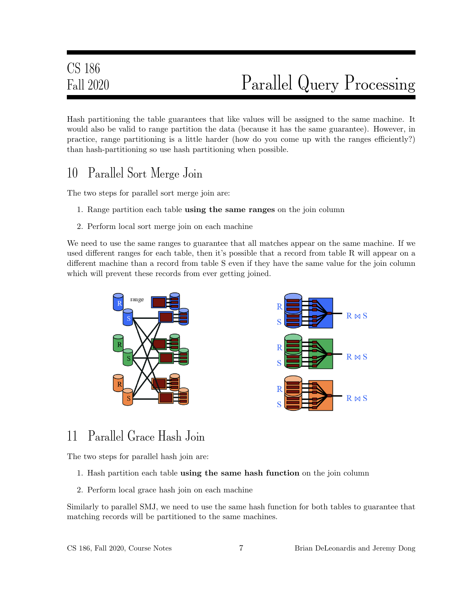Hash partitioning the table guarantees that like values will be assigned to the same machine. It would also be valid to range partition the data (because it has the same guarantee). However, in practice, range partitioning is a little harder (how do you come up with the ranges efficiently?) than hash-partitioning so use hash partitioning when possible.

#### 10 Parallel Sort Merge Join

The two steps for parallel sort merge join are:

- 1. Range partition each table using the same ranges on the join column
- 2. Perform local sort merge join on each machine

We need to use the same ranges to guarantee that all matches appear on the same machine. If we used different ranges for each table, then it's possible that a record from table R will appear on a different machine than a record from table S even if they have the same value for the join column which will prevent these records from ever getting joined.



#### 11 Parallel Grace Hash Join

The two steps for parallel hash join are:

- 1. Hash partition each table using the same hash function on the join column
- 2. Perform local grace hash join on each machine

Similarly to parallel SMJ, we need to use the same hash function for both tables to guarantee that matching records will be partitioned to the same machines.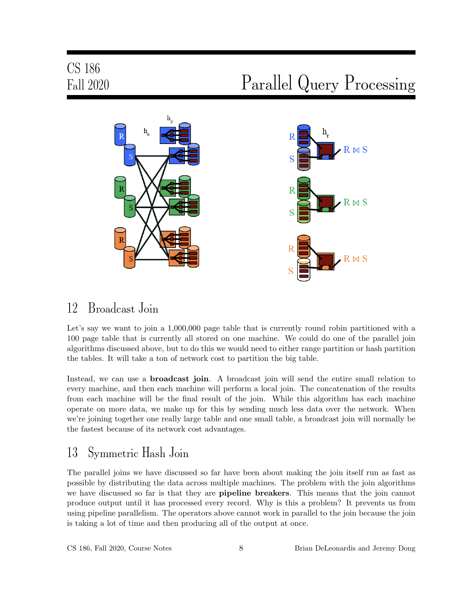# CS 186

# Fall 2020 Parallel Query Processing



#### 12 Broadcast Join

Let's say we want to join a 1,000,000 page table that is currently round robin partitioned with a 100 page table that is currently all stored on one machine. We could do one of the parallel join algorithms discussed above, but to do this we would need to either range partition or hash partition the tables. It will take a ton of network cost to partition the big table.

Instead, we can use a **broadcast join**. A broadcast join will send the entire small relation to every machine, and then each machine will perform a local join. The concatenation of the results from each machine will be the final result of the join. While this algorithm has each machine operate on more data, we make up for this by sending much less data over the network. When we're joining together one really large table and one small table, a broadcast join will normally be the fastest because of its network cost advantages.

#### 13 Symmetric Hash Join

The parallel joins we have discussed so far have been about making the join itself run as fast as possible by distributing the data across multiple machines. The problem with the join algorithms we have discussed so far is that they are **pipeline breakers**. This means that the join cannot produce output until it has processed every record. Why is this a problem? It prevents us from using pipeline parallelism. The operators above cannot work in parallel to the join because the join is taking a lot of time and then producing all of the output at once.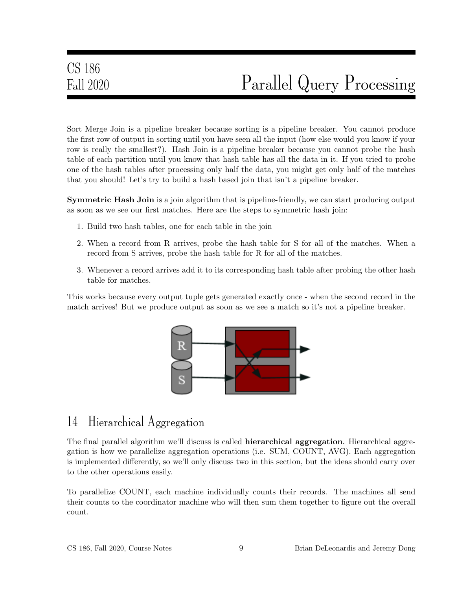Sort Merge Join is a pipeline breaker because sorting is a pipeline breaker. You cannot produce the first row of output in sorting until you have seen all the input (how else would you know if your row is really the smallest?). Hash Join is a pipeline breaker because you cannot probe the hash table of each partition until you know that hash table has all the data in it. If you tried to probe one of the hash tables after processing only half the data, you might get only half of the matches that you should! Let's try to build a hash based join that isn't a pipeline breaker.

**Symmetric Hash Join** is a join algorithm that is pipeline-friendly, we can start producing output as soon as we see our first matches. Here are the steps to symmetric hash join:

- 1. Build two hash tables, one for each table in the join
- 2. When a record from R arrives, probe the hash table for S for all of the matches. When a record from S arrives, probe the hash table for R for all of the matches.
- 3. Whenever a record arrives add it to its corresponding hash table after probing the other hash table for matches.

This works because every output tuple gets generated exactly once - when the second record in the match arrives! But we produce output as soon as we see a match so it's not a pipeline breaker.



#### 14 Hierarchical Aggregation

The final parallel algorithm we'll discuss is called **hierarchical aggregation**. Hierarchical aggregation is how we parallelize aggregation operations (i.e. SUM, COUNT, AVG). Each aggregation is implemented differently, so we'll only discuss two in this section, but the ideas should carry over to the other operations easily.

To parallelize COUNT, each machine individually counts their records. The machines all send their counts to the coordinator machine who will then sum them together to figure out the overall count.